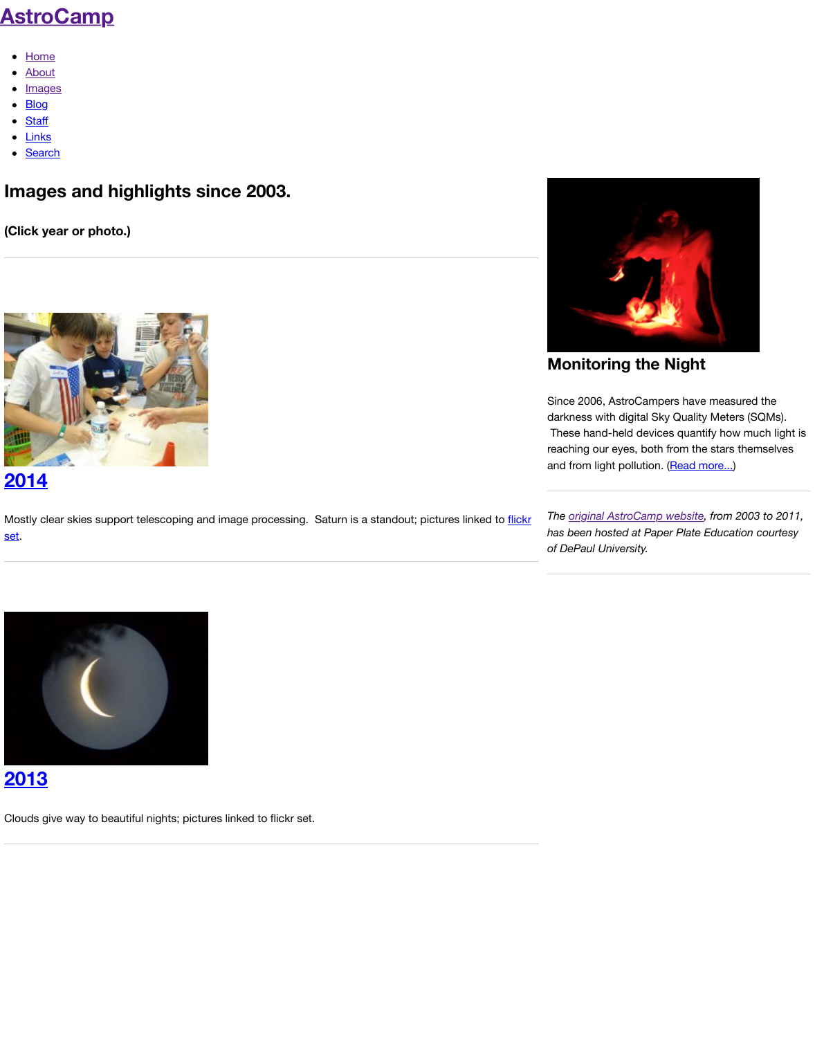

Mo[stly clea](http://www.astrocamp.us/index.php/search/)r skies support telescoping and image processing. Saturn is a standout; pictures linked to flick set.



### **2013**

[Clouds give way to beautiful nights; pictur](http://www.astrocamp.us/index.php/blog/2014/)es linked to flickr set.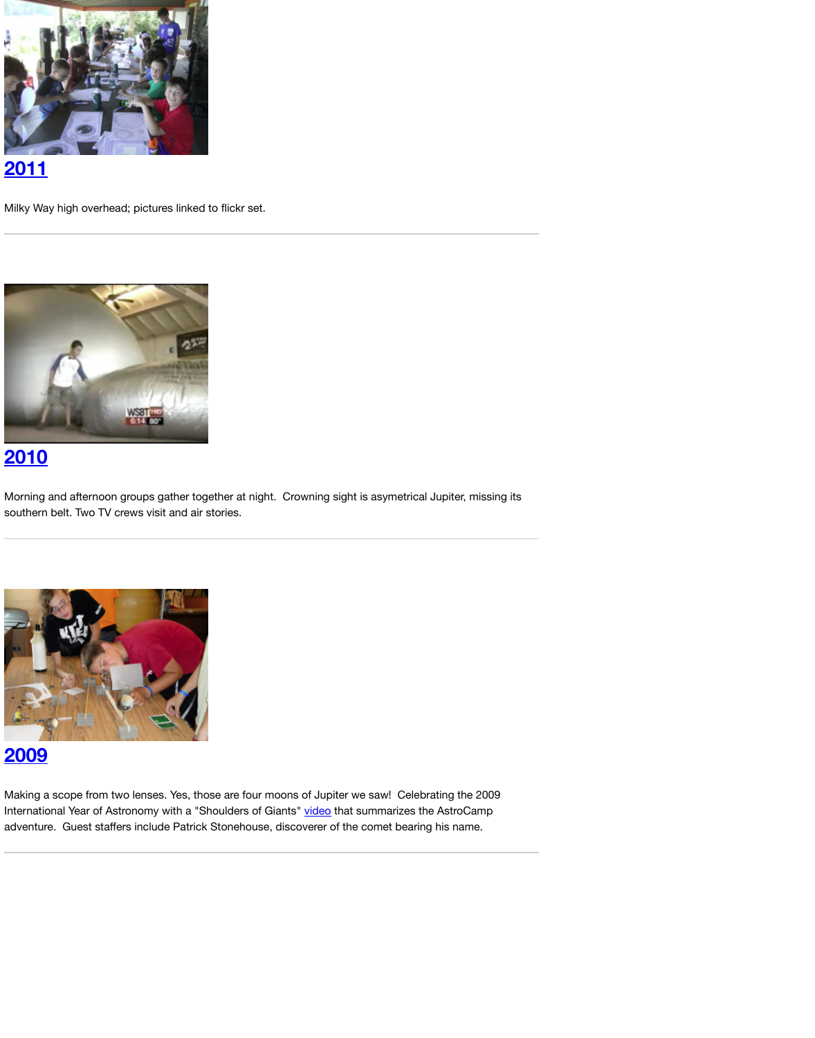

[Morning and afternoon groups gather tog](http://analyzer.depaul.edu/paperplate/astrocamp11.htm)ether at night. Crowning sight is asymetrical Jupiter, missing its southern belt. Two TV crews visit and air stories.



### **2009**

[Making a scope from two lenses. Yes, tho](http://analyzer.depaul.edu/paperplate/astrocamp10.htm)se are four moons of Jupiter we saw! Celebrating the 2009 International Year of Astronomy with a "Shoulders of Giants" video that summarizes the AstroCamp [adventure](http://analyzer.depaul.edu/paperplate/astrocamp10.htm). Guest staffers include Patrick Stonehouse, discoverer of the comet bearing his name.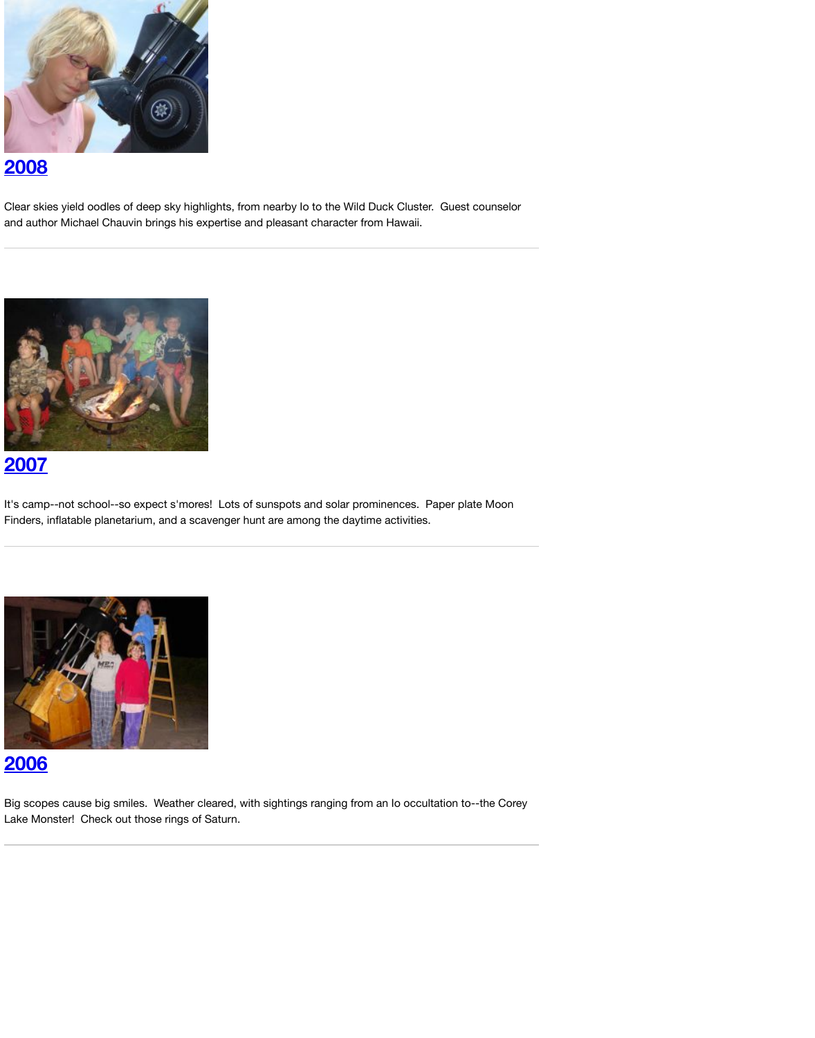

[It's camp--not school--so expect s'mores](http://analyzer.depaul.edu/paperplate/astrocamp08.htm)! Lots of sunspots and solar prominences. Paper plate Moon [Finders, i](http://analyzer.depaul.edu/paperplate/astrocamp08.htm)nflatable planetarium, and a scavenger hunt are among the daytime activities.



### **2006**

[Big scopes cause big smiles. Weather cle](http://analyzer.depaul.edu/paperplate/astrocamp07.htm)ared, with sightings ranging from an Io occultation to--the Core [Lake Mon](http://analyzer.depaul.edu/paperplate/astrocamp07.htm)ster! Check out those rings of Saturn.